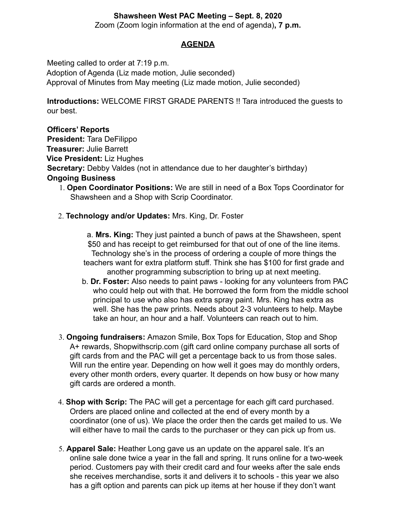# **Shawsheen West PAC Meeting – Sept. 8, 2020**

Zoom (Zoom login information at the end of agenda)**, 7 p.m.**

## **AGENDA**

Meeting called to order at 7:19 p.m.

Adoption of Agenda (Liz made motion, Julie seconded) Approval of Minutes from May meeting (Liz made motion, Julie seconded)

**Introductions:** WELCOME FIRST GRADE PARENTS !! Tara introduced the guests to our best.

## **Officers' Reports**

**President:** Tara DeFilippo **Treasurer:** Julie Barrett **Vice President:** Liz Hughes **Secretary:** Debby Valdes (not in attendance due to her daughter's birthday) **Ongoing Business** 1. **Open Coordinator Positions:** We are still in need of a Box Tops Coordinator for

- Shawsheen and a Shop with Scrip Coordinator.
- 2. **Technology and/or Updates:** Mrs. King, Dr. Foster

a. **Mrs. King:** They just painted a bunch of paws at the Shawsheen, spent \$50 and has receipt to get reimbursed for that out of one of the line items. Technology she's in the process of ordering a couple of more things the teachers want for extra platform stuff. Think she has \$100 for first grade and another programming subscription to bring up at next meeting.

- b. **Dr. Foster:** Also needs to paint paws looking for any volunteers from PAC who could help out with that. He borrowed the form from the middle school principal to use who also has extra spray paint. Mrs. King has extra as well. She has the paw prints. Needs about 2-3 volunteers to help. Maybe take an hour, an hour and a half. Volunteers can reach out to him.
- 3. **Ongoing fundraisers:** Amazon Smile, Box Tops for Education, Stop and Shop A+ rewards, Shopwithscrip.com (gift card online company purchase all sorts of gift cards from and the PAC will get a percentage back to us from those sales. Will run the entire year. Depending on how well it goes may do monthly orders, every other month orders, every quarter. It depends on how busy or how many gift cards are ordered a month.
- 4. **Shop with Scrip:** The PAC will get a percentage for each gift card purchased. Orders are placed online and collected at the end of every month by a coordinator (one of us). We place the order then the cards get mailed to us. We will either have to mail the cards to the purchaser or they can pick up from us.
- 5. **Apparel Sale:** Heather Long gave us an update on the apparel sale. It's an online sale done twice a year in the fall and spring. It runs online for a two-week period. Customers pay with their credit card and four weeks after the sale ends she receives merchandise, sorts it and delivers it to schools - this year we also has a gift option and parents can pick up items at her house if they don't want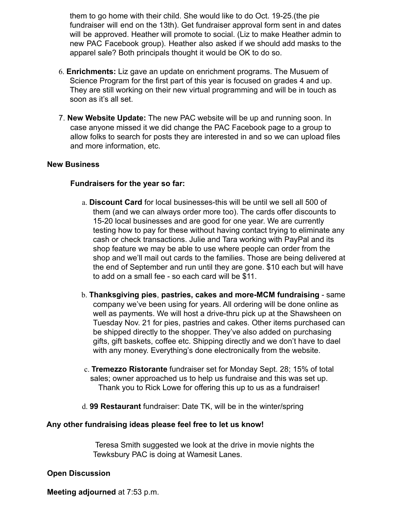them to go home with their child. She would like to do Oct. 19-25.(the pie fundraiser will end on the 13th). Get fundraiser approval form sent in and dates will be approved. Heather will promote to social. (Liz to make Heather admin to new PAC Facebook group). Heather also asked if we should add masks to the apparel sale? Both principals thought it would be OK to do so.

- 6. **Enrichments:** Liz gave an update on enrichment programs. The Musuem of Science Program for the first part of this year is focused on grades 4 and up. They are still working on their new virtual programming and will be in touch as soon as it's all set.
- 7. **New Website Update:** The new PAC website will be up and running soon. In case anyone missed it we did change the PAC Facebook page to a group to allow folks to search for posts they are interested in and so we can upload files and more information, etc.

#### **New Business**

## **Fundraisers for the year so far:**

- a. **Discount Card** for local businesses-this will be until we sell all 500 of them (and we can always order more too). The cards offer discounts to 15-20 local businesses and are good for one year. We are currently testing how to pay for these without having contact trying to eliminate any cash or check transactions. Julie and Tara working with PayPal and its shop feature we may be able to use where people can order from the shop and we'll mail out cards to the families. Those are being delivered at the end of September and run until they are gone. \$10 each but will have to add on a small fee - so each card will be \$11.
- b. **Thanksgiving pies**, **pastries, cakes and more-MCM fundraising** same company we've been using for years. All ordering will be done online as well as payments. We will host a drive-thru pick up at the Shawsheen on Tuesday Nov. 21 for pies, pastries and cakes. Other items purchased can be shipped directly to the shopper. They've also added on purchasing gifts, gift baskets, coffee etc. Shipping directly and we don't have to dael with any money. Everything's done electronically from the website.
- c. **Tremezzo Ristorante** fundraiser set for Monday Sept. 28; 15% of total sales; owner approached us to help us fundraise and this was set up. Thank you to Rick Lowe for offering this up to us as a fundraiser!
- d. **99 Restaurant** fundraiser: Date TK, will be in the winter/spring

#### **Any other fundraising ideas please feel free to let us know!**

Teresa Smith suggested we look at the drive in movie nights the Tewksbury PAC is doing at Wamesit Lanes.

## **Open Discussion**

**Meeting adjourned** at 7:53 p.m.